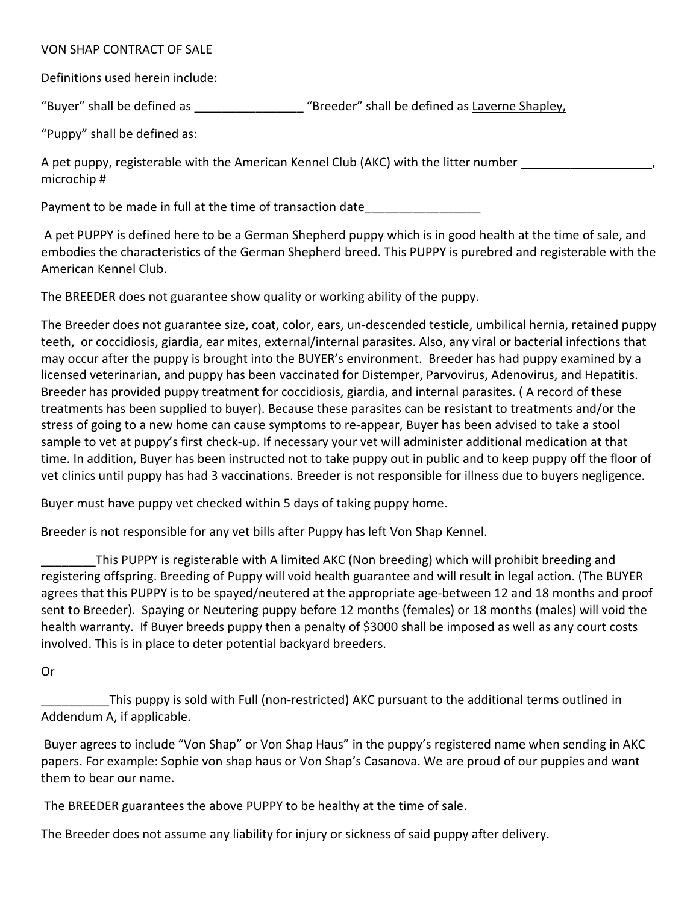## VON SHAP CONTRACT OF SALE

Definitions used herein include:

"Buyer" shall be defined as  $\qquad$  "Breeder" shall be defined as Laverne Shapley,

"Puppy" shall be defined as:

A pet puppy, registerable with the American Kennel Club (AKC) with the litter number  $\overline{\phantom{a}}$ microchip #

Payment to be made in full at the time of transaction date

A pet PUPPY is defined here to be a German Shepherd puppy which is in good health at the time of sale, and embodies the characteristics of the German Shepherd breed. This PUPPY is purebred and registerable with the American Kennel Club.

The BREEDER does not guarantee show quality or working ability of the puppy.

The Breeder does not guarantee size, coat, color, ears, un-descended testicle, umbilical hernia, retained puppy teeth, or coccidiosis, giardia, ear mites, external/internal parasites. Also, any viral or bacterial infections that may occur after the puppy is brought into the BUYER's environment. Breeder has had puppy examined by a licensed veterinarian, and puppy has been vaccinated for Distemper, Parvovirus, Adenovirus, and Hepatitis. Breeder has provided puppy treatment for coccidiosis, giardia, and internal parasites. ( A record of these treatments has been supplied to buyer). Because these parasites can be resistant to treatments and/or the stress of going to a new home can cause symptoms to re-appear, Buyer has been advised to take a stool sample to vet at puppy's first check-up. If necessary your vet will administer additional medication at that time. In addition, Buyer has been instructed not to take puppy out in public and to keep puppy off the floor of vet clinics until puppy has had 3 vaccinations. Breeder is not responsible for illness due to buyers negligence.

Buyer must have puppy vet checked within 5 days of taking puppy home.

Breeder is not responsible for any vet bills after Puppy has left Von Shap Kennel.

\_\_\_\_\_\_\_\_This PUPPY is registerable with A limited AKC (Non breeding) which will prohibit breeding and registering offspring. Breeding of Puppy will void health guarantee and will result in legal action. (The BUYER agrees that this PUPPY is to be spayed/neutered at the appropriate age-between 12 and 18 months and proof sent to Breeder). Spaying or Neutering puppy before 12 months (females) or 18 months (males) will void the health warranty. If Buyer breeds puppy then a penalty of \$3000 shall be imposed as well as any court costs involved. This is in place to deter potential backyard breeders.

Or

This puppy is sold with Full (non-restricted) AKC pursuant to the additional terms outlined in Addendum A, if applicable.

Buyer agrees to include "Von Shap" or Von Shap Haus" in the puppy's registered name when sending in AKC papers. For example: Sophie von shap haus or Von Shap's Casanova. We are proud of our puppies and want them to bear our name.

The BREEDER guarantees the above PUPPY to be healthy at the time of sale.

The Breeder does not assume any liability for injury or sickness of said puppy after delivery.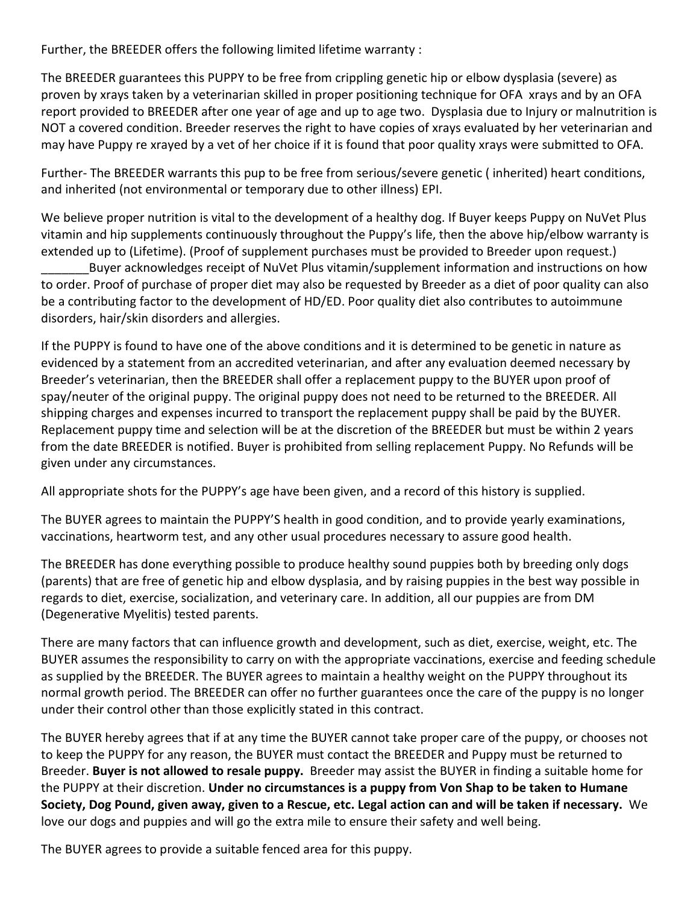Further, the BREEDER offers the following limited lifetime warranty :

The BREEDER guarantees this PUPPY to be free from crippling genetic hip or elbow dysplasia (severe) as proven by xrays taken by a veterinarian skilled in proper positioning technique for OFA xrays and by an OFA report provided to BREEDER after one year of age and up to age two. Dysplasia due to Injury or malnutrition is NOT a covered condition. Breeder reserves the right to have copies of xrays evaluated by her veterinarian and may have Puppy re xrayed by a vet of her choice if it is found that poor quality xrays were submitted to OFA.

Further- The BREEDER warrants this pup to be free from serious/severe genetic ( inherited) heart conditions, and inherited (not environmental or temporary due to other illness) EPI.

We believe proper nutrition is vital to the development of a healthy dog. If Buyer keeps Puppy on NuVet Plus vitamin and hip supplements continuously throughout the Puppy's life, then the above hip/elbow warranty is extended up to (Lifetime). (Proof of supplement purchases must be provided to Breeder upon request.)

Buyer acknowledges receipt of NuVet Plus vitamin/supplement information and instructions on how to order. Proof of purchase of proper diet may also be requested by Breeder as a diet of poor quality can also be a contributing factor to the development of HD/ED. Poor quality diet also contributes to autoimmune disorders, hair/skin disorders and allergies.

If the PUPPY is found to have one of the above conditions and it is determined to be genetic in nature as evidenced by a statement from an accredited veterinarian, and after any evaluation deemed necessary by Breeder's veterinarian, then the BREEDER shall offer a replacement puppy to the BUYER upon proof of spay/neuter of the original puppy. The original puppy does not need to be returned to the BREEDER. All shipping charges and expenses incurred to transport the replacement puppy shall be paid by the BUYER. Replacement puppy time and selection will be at the discretion of the BREEDER but must be within 2 years from the date BREEDER is notified. Buyer is prohibited from selling replacement Puppy. No Refunds will be given under any circumstances.

All appropriate shots for the PUPPY's age have been given, and a record of this history is supplied.

The BUYER agrees to maintain the PUPPY'S health in good condition, and to provide yearly examinations, vaccinations, heartworm test, and any other usual procedures necessary to assure good health.

The BREEDER has done everything possible to produce healthy sound puppies both by breeding only dogs (parents) that are free of genetic hip and elbow dysplasia, and by raising puppies in the best way possible in regards to diet, exercise, socialization, and veterinary care. In addition, all our puppies are from DM (Degenerative Myelitis) tested parents.

There are many factors that can influence growth and development, such as diet, exercise, weight, etc. The BUYER assumes the responsibility to carry on with the appropriate vaccinations, exercise and feeding schedule as supplied by the BREEDER. The BUYER agrees to maintain a healthy weight on the PUPPY throughout its normal growth period. The BREEDER can offer no further guarantees once the care of the puppy is no longer under their control other than those explicitly stated in this contract.

The BUYER hereby agrees that if at any time the BUYER cannot take proper care of the puppy, or chooses not to keep the PUPPY for any reason, the BUYER must contact the BREEDER and Puppy must be returned to Breeder. **Buyer is not allowed to resale puppy.** Breeder may assist the BUYER in finding a suitable home for the PUPPY at their discretion. **Under no circumstances is a puppy from Von Shap to be taken to Humane Society, Dog Pound, given away, given to a Rescue, etc. Legal action can and will be taken if necessary.** We love our dogs and puppies and will go the extra mile to ensure their safety and well being.

The BUYER agrees to provide a suitable fenced area for this puppy.